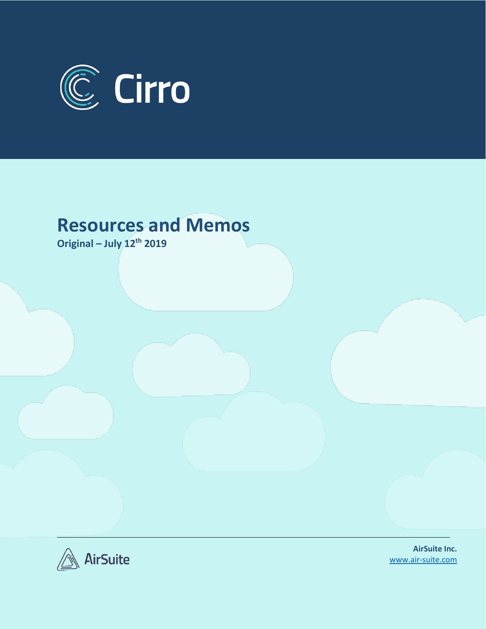

## **Resources and Memos**

**Original – July 12th 2019**



**AirSuite Inc.** [www.air-suite.com](http://www.air-suite.com/)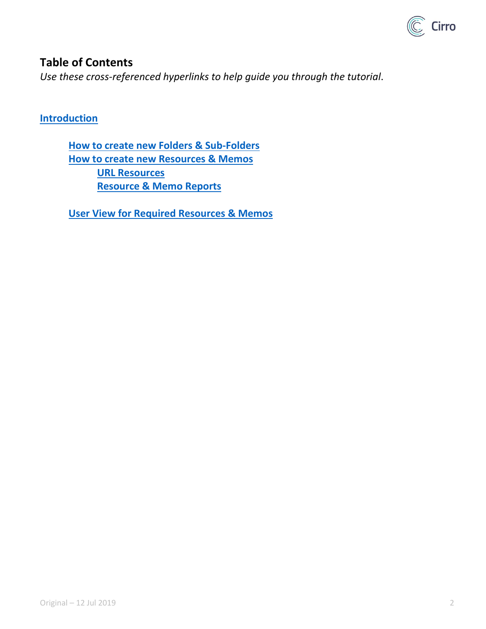

## **Table of Contents**

*Use these cross-referenced hyperlinks to help guide you through the tutorial*.

**[Introduction](#page-2-0)**

**[How to create new Folders](#page-2-1) & Sub-Folders [How to create new Resources & Memos](#page-3-0) [URL Resources](#page-4-0) Resource [& Memo Reports](#page-7-0)**

**[User View for Required Resources & Memos](#page-9-0)**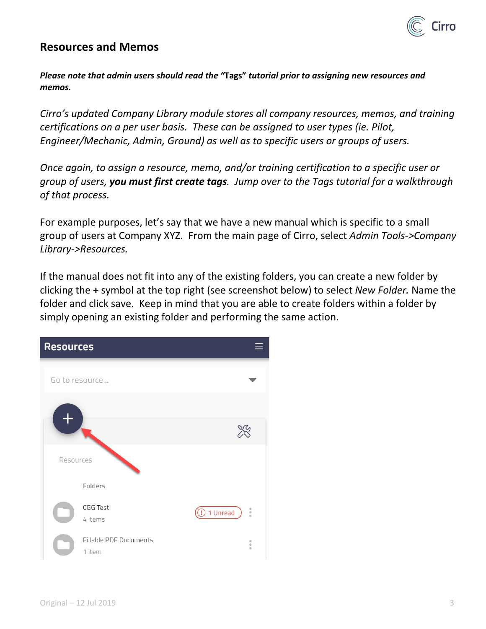

## <span id="page-2-0"></span>**Resources and Memos**

*Please note that admin users should read the "***Tags"** *tutorial prior to assigning new resources and memos.* 

*Cirro's updated Company Library module stores all company resources, memos, and training certifications on a per user basis. These can be assigned to user types (ie. Pilot, Engineer/Mechanic, Admin, Ground) as well as to specific users or groups of users.* 

*Once again, to assign a resource, memo, and/or training certification to a specific user or group of users, you must first create tags. Jump over to the Tags tutorial for a walkthrough of that process.*

For example purposes, let's say that we have a new manual which is specific to a small group of users at Company XYZ. From the main page of Cirro, select *Admin Tools->Company Library->Resources.* 

<span id="page-2-1"></span>If the manual does not fit into any of the existing folders, you can create a new folder by clicking the **+** symbol at the top right (see screenshot below) to select *New Folder.* Name the folder and click save. Keep in mind that you are able to create folders within a folder by simply opening an existing folder and performing the same action.

| <b>Resources</b>                        |                                |
|-----------------------------------------|--------------------------------|
| Go to resource                          |                                |
|                                         |                                |
|                                         |                                |
| Resources                               |                                |
| Folders                                 |                                |
| CGG Test<br>4 items                     | $\frac{1}{2}$<br>1 Unread<br>т |
| <b>Fillable PDF Documents</b><br>1 item | Ġ<br>$\circ$<br>$\alpha$       |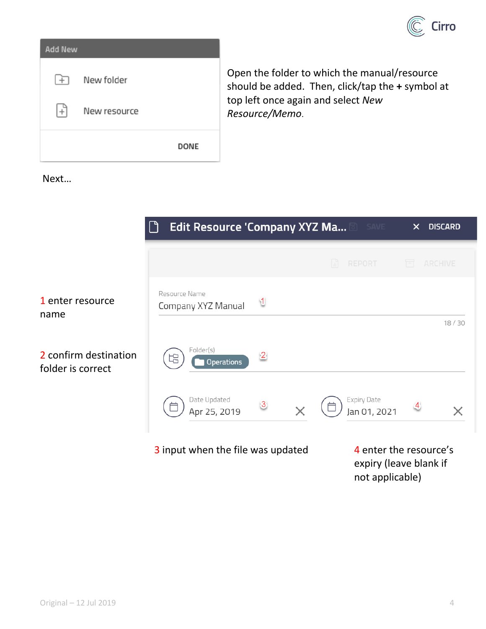

| <b>Add New</b> |              |             |
|----------------|--------------|-------------|
| l Fi           | New folder   |             |
| $+$            | New resource |             |
|                |              | <b>DONE</b> |

<span id="page-3-0"></span>Open the folder to which the manual/resource should be added. Then, click/tap the **+** symbol at top left once again and select *New Resource/Memo*.

Next…



not applicable)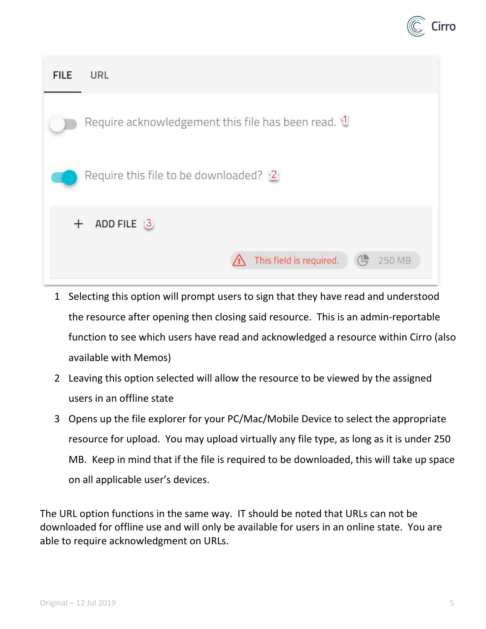

| <b>FILE</b>                             | URL                                                          |  |
|-----------------------------------------|--------------------------------------------------------------|--|
|                                         | Require acknowledgement this file has been read. $\mathbf 1$ |  |
| Require this file to be downloaded? $2$ |                                                              |  |
| $^{+}$                                  | ADD FILE 3                                                   |  |
|                                         | This field is required.<br>250 MB                            |  |

- 1 Selecting this option will prompt users to sign that they have read and understood the resource after opening then closing said resource. This is an admin-reportable function to see which users have read and acknowledged a resource within Cirro (also available with Memos)
- 2 Leaving this option selected will allow the resource to be viewed by the assigned users in an offline state
- 3 Opens up the file explorer for your PC/Mac/Mobile Device to select the appropriate resource for upload. You may upload virtually any file type, as long as it is under 250 MB. Keep in mind that if the file is required to be downloaded, this will take up space on all applicable user's devices.

<span id="page-4-0"></span>The URL option functions in the same way. IT should be noted that URLs can not be downloaded for offline use and will only be available for users in an online state. You are able to require acknowledgment on URLs.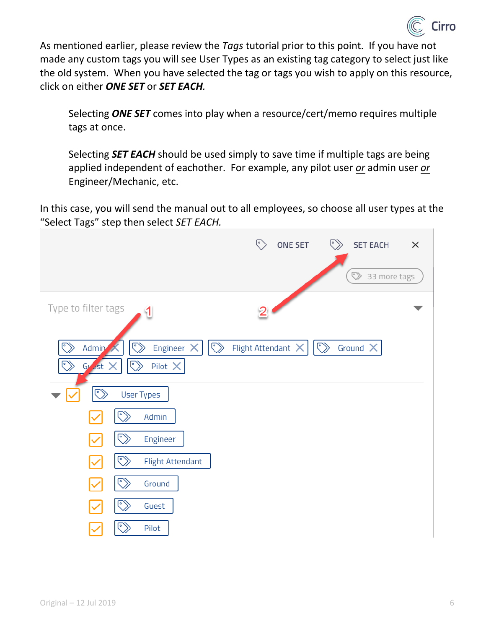

As mentioned earlier, please review the *Tags* tutorial prior to this point. If you have not made any custom tags you will see User Types as an existing tag category to select just like the old system. When you have selected the tag or tags you wish to apply on this resource, click on either *ONE SET* or *SET EACH.* 

Selecting *ONE SET* comes into play when a resource/cert/memo requires multiple tags at once.

Selecting *SET EACH* should be used simply to save time if multiple tags are being applied independent of eachother. For example, any pilot user *or* admin user *or* Engineer/Mechanic, etc.

In this case, you will send the manual out to all employees, so choose all user types at the "Select Tags" step then select *SET EACH.*

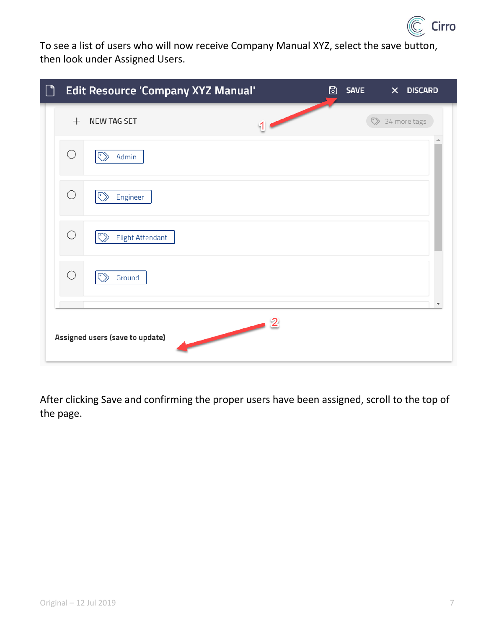

To see a list of users who will now receive Company Manual XYZ, select the save button, then look under Assigned Users.

| $\Box$ | <b>Edit Resource 'Company XYZ Manual'</b><br>圖<br><b>SAVE</b><br>$\mathsf{x}^-$<br><b>DISCARD</b> |                                                                 |                                                                                                      |  |  |                |  |
|--------|---------------------------------------------------------------------------------------------------|-----------------------------------------------------------------|------------------------------------------------------------------------------------------------------|--|--|----------------|--|
|        | $^{+}$                                                                                            | <b>NEW TAG SET</b>                                              |                                                                                                      |  |  | > 34 more tags |  |
|        | $\bigcirc$                                                                                        | $\odot$<br>Admin                                                |                                                                                                      |  |  |                |  |
|        | $\bigcirc$                                                                                        | $\left( \begin{matrix} 0 \\ 1 \end{matrix} \right)$<br>Engineer |                                                                                                      |  |  |                |  |
|        | $\bigcirc$                                                                                        | $\odot$<br><b>Flight Attendant</b>                              |                                                                                                      |  |  |                |  |
|        | $\bigcirc$                                                                                        | $\left( \begin{matrix} 0 \\ 1 \end{matrix} \right)$<br>Ground   |                                                                                                      |  |  |                |  |
|        |                                                                                                   | Assigned users (save to update)                                 | $\begin{array}{c c} \hline \text{ } & \text{ } & \text{ } & \text{ } \text{ } \\ \hline \end{array}$ |  |  |                |  |

After clicking Save and confirming the proper users have been assigned, scroll to the top of the page.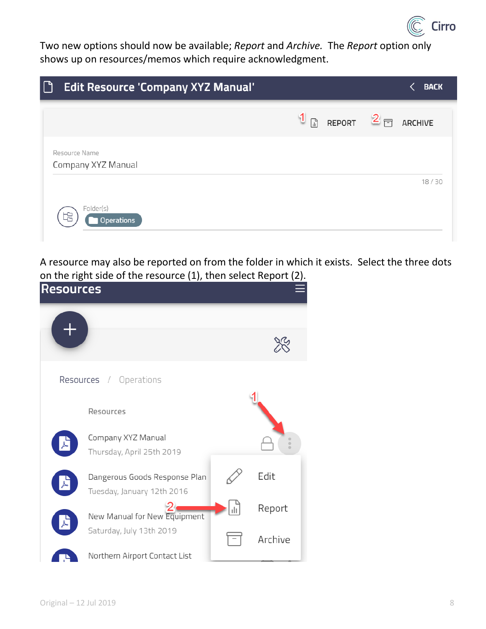

Two new options should now be available; *Report* and *Archive.* The *Report* option only shows up on resources/memos which require acknowledgment.

| $\bigcap$<br><b>Edit Resource 'Company XYZ Manual'</b> | <b>BACK</b>                                              |
|--------------------------------------------------------|----------------------------------------------------------|
|                                                        | $\frac{1}{2}$ REPORT $\frac{2}{2}$ $\frac{1}{2}$ ARCHIVE |
| Resource Name<br>Company XYZ Manual                    |                                                          |
|                                                        | 18/30                                                    |
| Folder(s)<br><b>Operations</b>                         |                                                          |

<span id="page-7-0"></span>A resource may also be reported on from the folder in which it exists. Select the three dots on the right side of the resource (1), then select Report (2).

| <b>Resources</b> |                               |     |                    |
|------------------|-------------------------------|-----|--------------------|
|                  |                               |     |                    |
|                  |                               |     |                    |
|                  | Resources / Operations        |     |                    |
|                  | Resources                     |     |                    |
|                  | Company XYZ Manual            |     | $\circ$<br>$\circ$ |
|                  | Thursday, April 25th 2019     |     |                    |
|                  | Dangerous Goods Response Plan |     | Edit               |
|                  | Tuesday, January 12th 2016    |     |                    |
|                  | New Manual for New Equipment  | ılı | Report             |
|                  | Saturday, July 13th 2019      |     | Archive            |
|                  | Northern Airport Contact List |     |                    |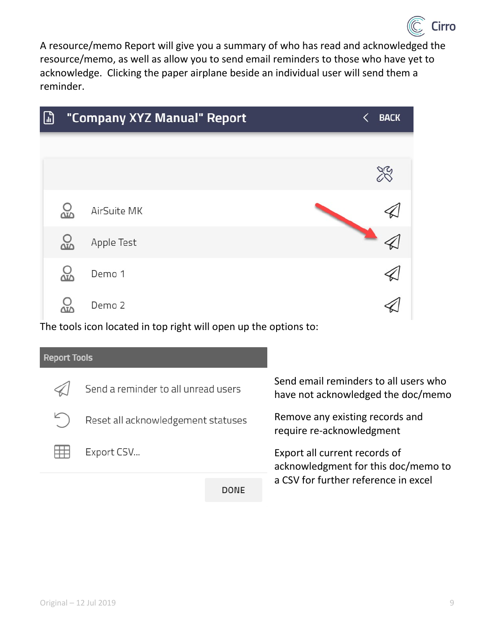

A resource/memo Report will give you a summary of who has read and acknowledged the resource/memo, as well as allow you to send email reminders to those who have yet to acknowledge. Clicking the paper airplane beside an individual user will send them a reminder.



| <b>Report Tools</b> |                                     |      |                                                                             |  |
|---------------------|-------------------------------------|------|-----------------------------------------------------------------------------|--|
|                     | Send a reminder to all unread users |      | Send email reminders to all users who<br>have not acknowledged the doc/memo |  |
|                     | Reset all acknowledgement statuses  |      | Remove any existing records and<br>require re-acknowledgment                |  |
|                     | Export CSV                          |      | Export all current records of<br>acknowledgment for this doc/memo to        |  |
|                     |                                     | DONE | a CSV for further reference in excel                                        |  |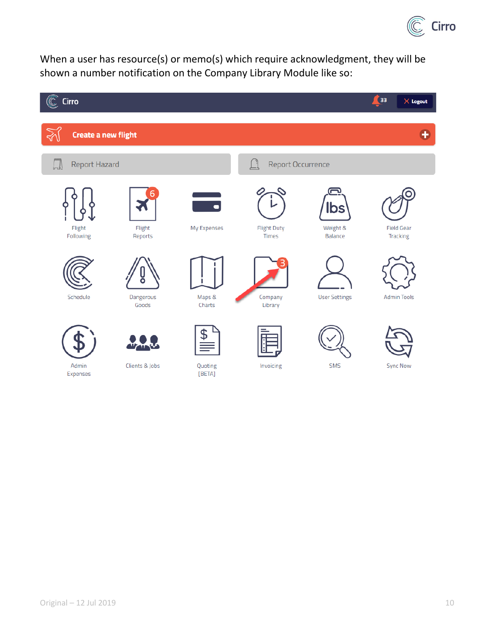

<span id="page-9-0"></span>When a user has resource(s) or memo(s) which require acknowledgment, they will be shown a number notification on the Company Library Module like so:

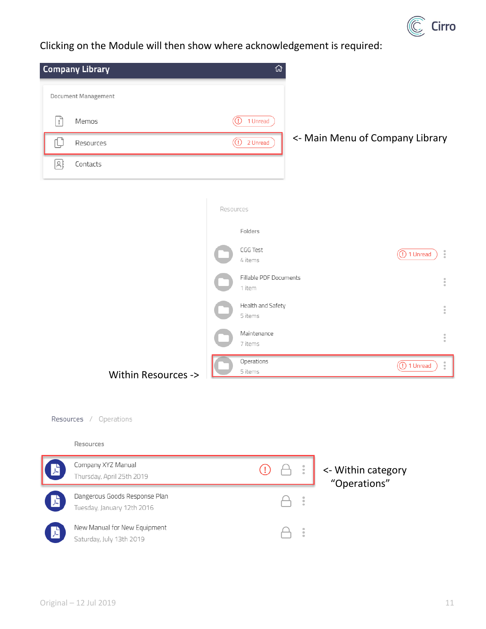

Clicking on the Module will then show where acknowledgement is required:



÷